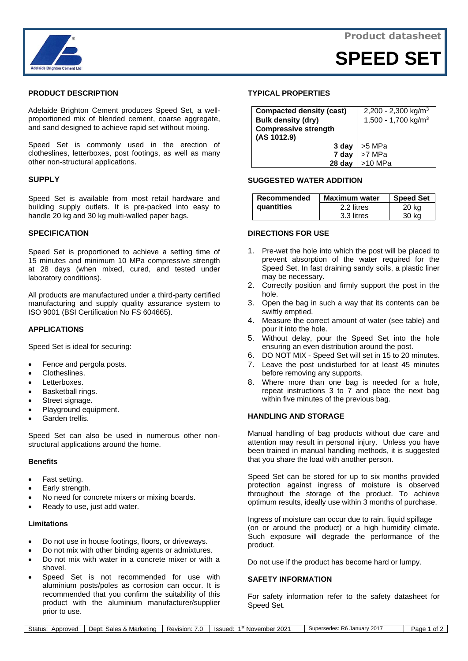



**SPEED SET**

## **PRODUCT DESCRIPTION**

Adelaide Brighton Cement produces Speed Set, a wellproportioned mix of blended cement, coarse aggregate, and sand designed to achieve rapid set without mixing.

Speed Set is commonly used in the erection of clotheslines, letterboxes, post footings, as well as many other non-structural applications.

### **SUPPLY**

Speed Set is available from most retail hardware and building supply outlets. It is pre-packed into easy to handle 20 kg and 30 kg multi-walled paper bags.

### **SPECIFICATION**

Speed Set is proportioned to achieve a setting time of 15 minutes and minimum 10 MPa compressive strength at 28 days (when mixed, cured, and tested under laboratory conditions).

All products are manufactured under a third-party certified manufacturing and supply quality assurance system to ISO 9001 (BSI Certification No FS 604665).

### **APPLICATIONS**

Speed Set is ideal for securing:

- Fence and pergola posts.
- Clotheslines.
- Letterboxes.
- Basketball rings.
- Street signage.
- Playground equipment.
- Garden trellis.

Speed Set can also be used in numerous other nonstructural applications around the home.

# **Benefits**

- Fast setting.
- Early strength.
- No need for concrete mixers or mixing boards.
- Ready to use, just add water.

#### **Limitations**

- Do not use in house footings, floors, or driveways.
- Do not mix with other binding agents or admixtures.
- Do not mix with water in a concrete mixer or with a shovel.
- Speed Set is not recommended for use with aluminium posts/poles as corrosion can occur. It is recommended that you confirm the suitability of this product with the aluminium manufacturer/supplier prior to use.

### **TYPICAL PROPERTIES**

| <b>Compacted density (cast)</b> | 2,200 - 2,300 kg/m <sup>3</sup> |
|---------------------------------|---------------------------------|
| <b>Bulk density (dry)</b>       | 1,500 - 1,700 kg/m <sup>3</sup> |
| <b>Compressive strength</b>     |                                 |
| (AS 1012.9)                     |                                 |
| 3 day                           | >5 MPa                          |
| 7 day                           | >7 MPa                          |
| 28 day                          | >10 MPa                         |

### **SUGGESTED WATER ADDITION**

| Recommended       | <b>Maximum water</b> | <b>Speed Set</b> |
|-------------------|----------------------|------------------|
| <b>guantities</b> | 2.2 litres           | 20 kg            |
|                   | 3.3 litres           | 30 kg            |

#### **DIRECTIONS FOR USE**

- 1. Pre-wet the hole into which the post will be placed to prevent absorption of the water required for the Speed Set. In fast draining sandy soils, a plastic liner may be necessary.
- 2. Correctly position and firmly support the post in the hole.
- 3. Open the bag in such a way that its contents can be swiftly emptied.
- 4. Measure the correct amount of water (see table) and pour it into the hole.
- 5. Without delay, pour the Speed Set into the hole ensuring an even distribution around the post.
- 6. DO NOT MIX Speed Set will set in 15 to 20 minutes.
- 7. Leave the post undisturbed for at least 45 minutes before removing any supports.
- 8. Where more than one bag is needed for a hole, repeat instructions 3 to 7 and place the next bag within five minutes of the previous bag.

## **HANDLING AND STORAGE**

Manual handling of bag products without due care and attention may result in personal injury. Unless you have been trained in manual handling methods, it is suggested that you share the load with another person.

Speed Set can be stored for up to six months provided protection against ingress of moisture is observed throughout the storage of the product. To achieve optimum results, ideally use within 3 months of purchase.

Ingress of moisture can occur due to rain, liquid spillage (on or around the product) or a high humidity climate. Such exposure will degrade the performance of the product.

Do not use if the product has become hard or lumpy.

## **SAFETY INFORMATION**

For safety information refer to the safety datasheet for Speed Set.